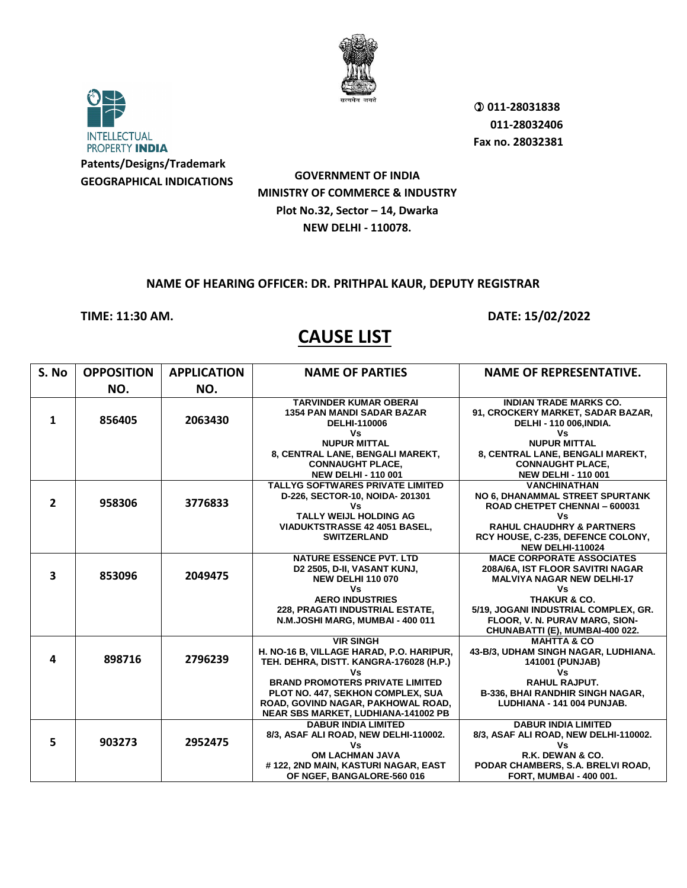



**GOVERNMENT OF INDIA MINISTRY OF COMMERCE & INDUSTRY Plot No.32, Sector – 14, Dwarka NEW DELHI - 110078.**

## **NAME OF HEARING OFFICER: DR. PRITHPAL KAUR, DEPUTY REGISTRAR**

**TIME: 11:30 AM. DATE: 15/02/2022** 

| S. No          | <b>OPPOSITION</b> | <b>APPLICATION</b> | <b>NAME OF PARTIES</b>                                                                                                                                                                                                                                                           | <b>NAME OF REPRESENTATIVE.</b>                                                                                                                                                                                              |
|----------------|-------------------|--------------------|----------------------------------------------------------------------------------------------------------------------------------------------------------------------------------------------------------------------------------------------------------------------------------|-----------------------------------------------------------------------------------------------------------------------------------------------------------------------------------------------------------------------------|
|                | NO.               | NO.                |                                                                                                                                                                                                                                                                                  |                                                                                                                                                                                                                             |
| $\mathbf{1}$   | 856405            | 2063430            | <b>TARVINDER KUMAR OBERAI</b><br><b>1354 PAN MANDI SADAR BAZAR</b><br><b>DELHI-110006</b><br>Vs<br><b>NUPUR MITTAL</b>                                                                                                                                                           | <b>INDIAN TRADE MARKS CO.</b><br>91, CROCKERY MARKET, SADAR BAZAR,<br>DELHI - 110 006, INDIA.<br>Vs<br><b>NUPUR MITTAL</b>                                                                                                  |
|                |                   |                    | 8, CENTRAL LANE, BENGALI MAREKT,<br><b>CONNAUGHT PLACE,</b><br><b>NEW DELHI - 110 001</b>                                                                                                                                                                                        | 8, CENTRAL LANE, BENGALI MAREKT,<br><b>CONNAUGHT PLACE,</b><br><b>NEW DELHI - 110 001</b>                                                                                                                                   |
| $\overline{2}$ | 958306            | 3776833            | <b>TALLYG SOFTWARES PRIVATE LIMITED</b><br>D-226, SECTOR-10, NOIDA-201301<br>٧s<br><b>TALLY WEIJL HOLDING AG</b><br><b>VIADUKTSTRASSE 42 4051 BASEL.</b><br><b>SWITZERLAND</b>                                                                                                   | <b>VANCHINATHAN</b><br>NO 6, DHANAMMAL STREET SPURTANK<br>ROAD CHETPET CHENNAI - 600031<br>Vs<br><b>RAHUL CHAUDHRY &amp; PARTNERS</b><br>RCY HOUSE, C-235, DEFENCE COLONY,<br><b>NEW DELHI-110024</b>                       |
| 3              | 853096            | 2049475            | <b>NATURE ESSENCE PVT. LTD</b><br>D2 2505, D-II, VASANT KUNJ,<br><b>NEW DELHI 110 070</b><br>Vs<br><b>AERO INDUSTRIES</b><br>228, PRAGATI INDUSTRIAL ESTATE,<br>N.M.JOSHI MARG, MUMBAI - 400 011                                                                                 | <b>MACE CORPORATE ASSOCIATES</b><br>208A/6A, IST FLOOR SAVITRI NAGAR<br><b>MALVIYA NAGAR NEW DELHI-17</b><br>Vs<br><b>THAKUR &amp; CO.</b><br>5/19, JOGANI INDUSTRIAL COMPLEX, GR.<br>FLOOR, V. N. PURAV MARG, SION-        |
| 4              | 898716            | 2796239            | <b>VIR SINGH</b><br>H. NO-16 B, VILLAGE HARAD, P.O. HARIPUR,<br>TEH. DEHRA, DISTT. KANGRA-176028 (H.P.)<br>٧s<br><b>BRAND PROMOTERS PRIVATE LIMITED</b><br>PLOT NO. 447, SEKHON COMPLEX, SUA<br>ROAD, GOVIND NAGAR, PAKHOWAL ROAD,<br><b>NEAR SBS MARKET, LUDHIANA-141002 PB</b> | CHUNABATTI (E), MUMBAI-400 022.<br><b>MAHTTA &amp; CO</b><br>43-B/3, UDHAM SINGH NAGAR, LUDHIANA.<br><b>141001 (PUNJAB)</b><br>٧s<br><b>RAHUL RAJPUT.</b><br>B-336, BHAI RANDHIR SINGH NAGAR,<br>LUDHIANA - 141 004 PUNJAB. |
| 5              | 903273            | 2952475            | <b>DABUR INDIA LIMITED</b><br>8/3, ASAF ALI ROAD, NEW DELHI-110002.<br>٧s<br>OM LACHMAN JAVA<br>#122, 2ND MAIN, KASTURI NAGAR, EAST<br>OF NGEF, BANGALORE-560 016                                                                                                                | <b>DABUR INDIA LIMITED</b><br>8/3, ASAF ALI ROAD, NEW DELHI-110002.<br>Vs<br>R.K. DEWAN & CO.<br>PODAR CHAMBERS, S.A. BRELVI ROAD,<br><b>FORT, MUMBAI - 400 001.</b>                                                        |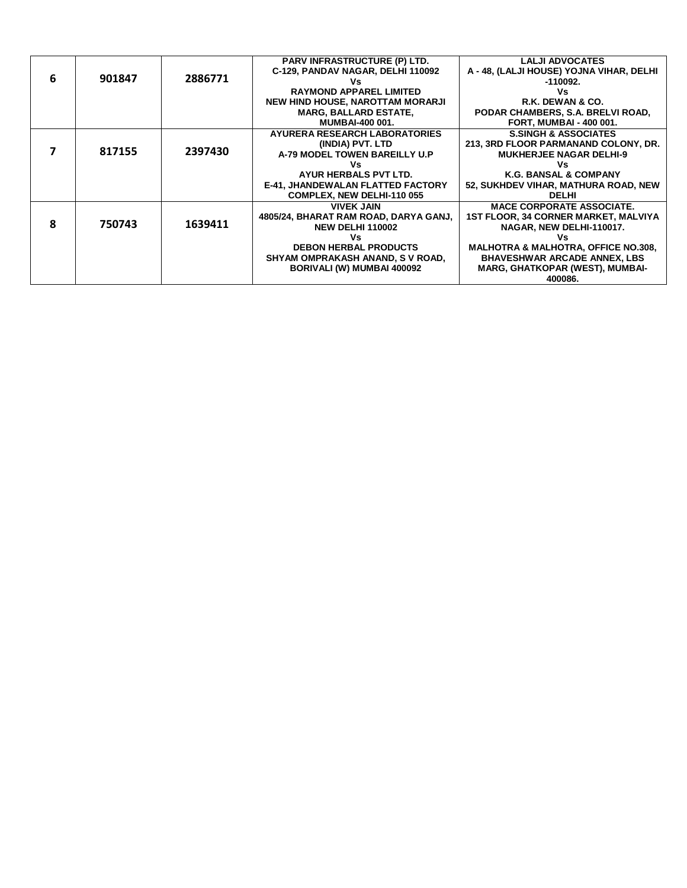|   |        |         | <b>PARV INFRASTRUCTURE (P) LTD.</b>      | <b>LALJI ADVOCATES</b>                         |
|---|--------|---------|------------------------------------------|------------------------------------------------|
|   |        |         | C-129, PANDAV NAGAR, DELHI 110092        | A - 48, (LALJI HOUSE) YOJNA VIHAR, DELHI       |
| 6 | 901847 | 2886771 | ٧s                                       | -110092.                                       |
|   |        |         | <b>RAYMOND APPAREL LIMITED</b>           | Vs                                             |
|   |        |         | NEW HIND HOUSE, NAROTTAM MORARJI         | R.K. DEWAN & CO.                               |
|   |        |         | <b>MARG, BALLARD ESTATE,</b>             | PODAR CHAMBERS, S.A. BRELVI ROAD,              |
|   |        |         | <b>MUMBAI-400 001.</b>                   | <b>FORT, MUMBAI - 400 001.</b>                 |
|   |        |         | <b>AYURERA RESEARCH LABORATORIES</b>     | <b>S.SINGH &amp; ASSOCIATES</b>                |
|   |        |         | (INDIA) PVT. LTD                         | 213, 3RD FLOOR PARMANAND COLONY, DR.           |
|   | 817155 | 2397430 | A-79 MODEL TOWEN BAREILLY U.P            | <b>MUKHERJEE NAGAR DELHI-9</b>                 |
|   |        |         | ٧s                                       | ٧s                                             |
|   |        |         | AYUR HERBALS PVT LTD.                    | <b>K.G. BANSAL &amp; COMPANY</b>               |
|   |        |         | <b>E-41, JHANDEWALAN FLATTED FACTORY</b> | 52, SUKHDEV VIHAR, MATHURA ROAD, NEW           |
|   |        |         | <b>COMPLEX, NEW DELHI-110 055</b>        | <b>DELHI</b>                                   |
|   |        |         | <b>VIVEK JAIN</b>                        | <b>MACE CORPORATE ASSOCIATE.</b>               |
|   |        |         | 4805/24, BHARAT RAM ROAD, DARYA GANJ,    | <b>1ST FLOOR, 34 CORNER MARKET, MALVIYA</b>    |
| ጸ | 750743 | 1639411 | <b>NEW DELHI 110002</b>                  | NAGAR, NEW DELHI-110017.                       |
|   |        |         | ٧s                                       | ٧s                                             |
|   |        |         | <b>DEBON HERBAL PRODUCTS</b>             | <b>MALHOTRA &amp; MALHOTRA, OFFICE NO.308,</b> |
|   |        |         | SHYAM OMPRAKASH ANAND, S V ROAD,         | <b>BHAVESHWAR ARCADE ANNEX, LBS</b>            |
|   |        |         | BORIVALI (W) MUMBAI 400092               | <b>MARG, GHATKOPAR (WEST), MUMBAI-</b>         |
|   |        |         |                                          | 400086.                                        |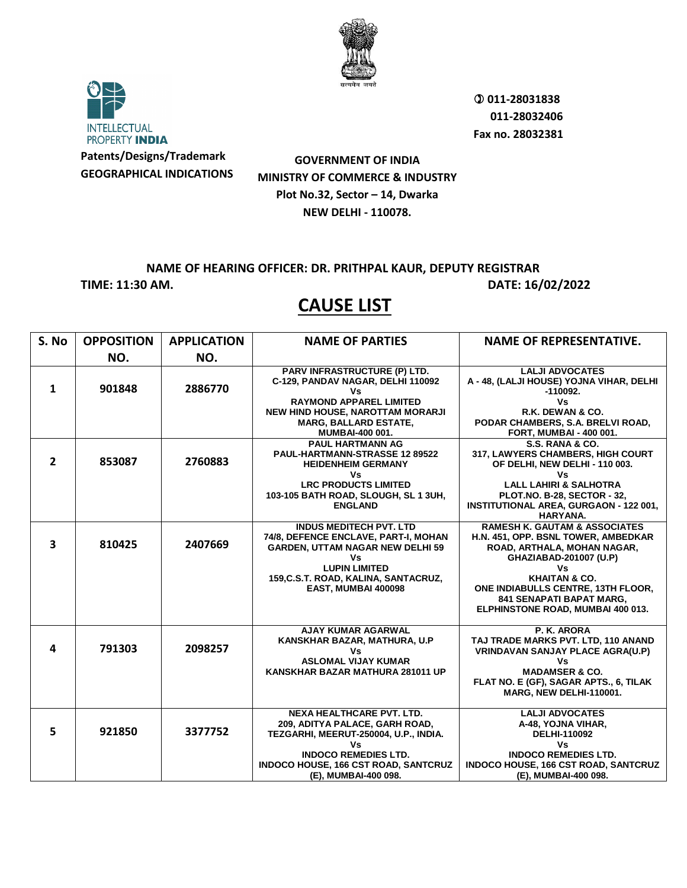



**Patents/Designs/Trademark GEOGRAPHICAL INDICATIONS**

 **011-28031838 011-28032406 Fax no. 28032381**

## **GOVERNMENT OF INDIA MINISTRY OF COMMERCE & INDUSTRY Plot No.32, Sector – 14, Dwarka NEW DELHI - 110078.**

**NAME OF HEARING OFFICER: DR. PRITHPAL KAUR, DEPUTY REGISTRAR TIME: 11:30 AM. DATE: 16/02/2022** 

| S. No                   | <b>OPPOSITION</b> | <b>APPLICATION</b> | <b>NAME OF PARTIES</b>                                                                                                                                                                                            | <b>NAME OF REPRESENTATIVE.</b>                                                                                                                                                                                                                                                    |
|-------------------------|-------------------|--------------------|-------------------------------------------------------------------------------------------------------------------------------------------------------------------------------------------------------------------|-----------------------------------------------------------------------------------------------------------------------------------------------------------------------------------------------------------------------------------------------------------------------------------|
|                         | NO.               | NO.                |                                                                                                                                                                                                                   |                                                                                                                                                                                                                                                                                   |
| 1                       | 901848            | 2886770            | PARV INFRASTRUCTURE (P) LTD.<br>C-129, PANDAV NAGAR, DELHI 110092<br>٧s<br><b>RAYMOND APPAREL LIMITED</b><br><b>NEW HIND HOUSE, NAROTTAM MORARJI</b><br><b>MARG, BALLARD ESTATE,</b><br>MUMBAI-400 001.           | <b>LALJI ADVOCATES</b><br>A - 48, (LALJI HOUSE) YOJNA VIHAR, DELHI<br>$-110092.$<br>٧s<br>R.K. DEWAN & CO.<br>PODAR CHAMBERS, S.A. BRELVI ROAD,<br>FORT, MUMBAI - 400 001.                                                                                                        |
| $\overline{2}$          | 853087            | 2760883            | <b>PAUL HARTMANN AG</b><br>PAUL-HARTMANN-STRASSE 12 89522<br><b>HEIDENHEIM GERMANY</b><br>٧s<br><b>LRC PRODUCTS LIMITED</b><br>103-105 BATH ROAD, SLOUGH, SL 1 3UH,<br><b>ENGLAND</b>                             | S.S. RANA & CO.<br>317, LAWYERS CHAMBERS, HIGH COURT<br>OF DELHI, NEW DELHI - 110 003.<br>Vs<br><b>LALL LAHIRI &amp; SALHOTRA</b><br>PLOT.NO. B-28, SECTOR - 32,<br><b>INSTITUTIONAL AREA, GURGAON - 122 001,</b><br>HARYANA.                                                     |
| $\overline{\mathbf{3}}$ | 810425            | 2407669            | <b>INDUS MEDITECH PVT. LTD</b><br>74/8, DEFENCE ENCLAVE, PART-I, MOHAN<br><b>GARDEN, UTTAM NAGAR NEW DELHI 59</b><br>٧s<br><b>LUPIN LIMITED</b><br>159, C.S.T. ROAD, KALINA, SANTACRUZ,<br>EAST, MUMBAI 400098    | <b>RAMESH K. GAUTAM &amp; ASSOCIATES</b><br>H.N. 451, OPP. BSNL TOWER, AMBEDKAR<br>ROAD, ARTHALA, MOHAN NAGAR,<br>GHAZIABAD-201007 (U.P)<br>Vs<br><b>KHAITAN &amp; CO.</b><br>ONE INDIABULLS CENTRE, 13TH FLOOR,<br>841 SENAPATI BAPAT MARG,<br>ELPHINSTONE ROAD, MUMBAI 400 013. |
| 4                       | 791303            | 2098257            | <b>AJAY KUMAR AGARWAL</b><br>KANSKHAR BAZAR, MATHURA, U.P<br>٧s<br><b>ASLOMAL VIJAY KUMAR</b><br>KANSKHAR BAZAR MATHURA 281011 UP                                                                                 | P. K. ARORA<br>TAJ TRADE MARKS PVT. LTD. 110 ANAND<br>VRINDAVAN SANJAY PLACE AGRA(U.P)<br>Vs<br><b>MADAMSER &amp; CO.</b><br>FLAT NO. E (GF), SAGAR APTS., 6, TILAK<br>MARG, NEW DELHI-110001.                                                                                    |
| 5                       | 921850            | 3377752            | <b>NEXA HEALTHCARE PVT. LTD.</b><br>209, ADITYA PALACE, GARH ROAD,<br>TEZGARHI, MEERUT-250004, U.P., INDIA.<br>Vs.<br><b>INDOCO REMEDIES LTD.</b><br>INDOCO HOUSE, 166 CST ROAD, SANTCRUZ<br>(E), MUMBAI-400 098. | <b>LALJI ADVOCATES</b><br>A-48, YOJNA VIHAR,<br>DELHI-110092<br><b>Vs</b><br><b>INDOCO REMEDIES LTD.</b><br><b>INDOCO HOUSE, 166 CST ROAD, SANTCRUZ</b><br>(E), MUMBAI-400 098.                                                                                                   |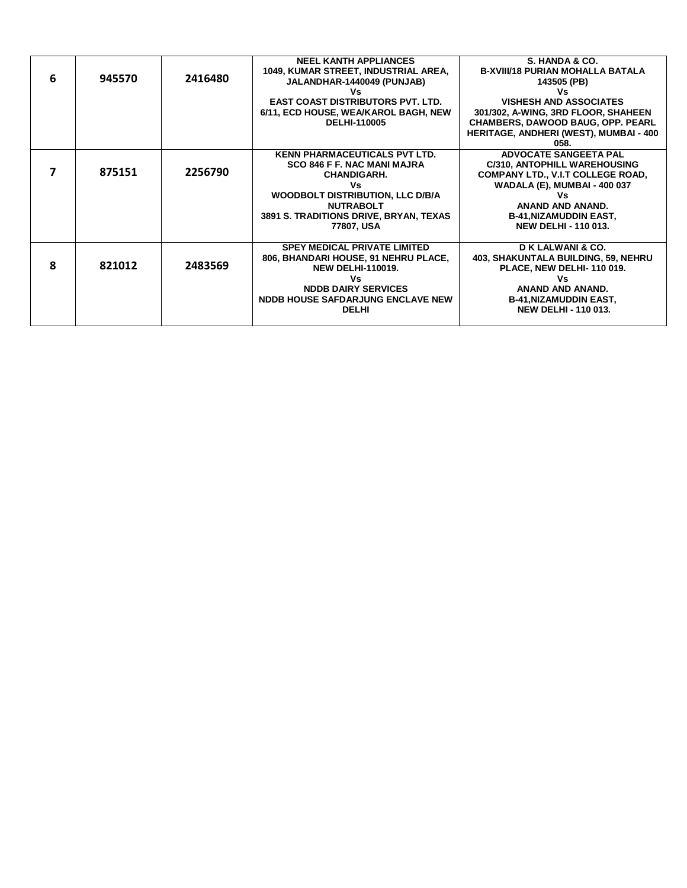| 6 | 945570 | 2416480 | <b>NEEL KANTH APPLIANCES</b><br>1049, KUMAR STREET, INDUSTRIAL AREA,<br>JALANDHAR-1440049 (PUNJAB)<br>٧s<br><b>EAST COAST DISTRIBUTORS PVT. LTD.</b><br>6/11, ECD HOUSE, WEA/KAROL BAGH, NEW<br><b>DELHI-110005</b>           | S. HANDA & CO.<br><b>B-XVIII/18 PURIAN MOHALLA BATALA</b><br>143505 (PB)<br>Vs<br><b>VISHESH AND ASSOCIATES</b><br>301/302, A-WING, 3RD FLOOR, SHAHEEN<br><b>CHAMBERS, DAWOOD BAUG, OPP. PEARL</b><br><b>HERITAGE, ANDHERI (WEST), MUMBAI - 400</b><br>058. |
|---|--------|---------|-------------------------------------------------------------------------------------------------------------------------------------------------------------------------------------------------------------------------------|-------------------------------------------------------------------------------------------------------------------------------------------------------------------------------------------------------------------------------------------------------------|
| 7 | 875151 | 2256790 | <b>KENN PHARMACEUTICALS PVT LTD.</b><br><b>SCO 846 F F. NAC MANI MAJRA</b><br><b>CHANDIGARH.</b><br>Vs<br><b>WOODBOLT DISTRIBUTION, LLC D/B/A</b><br><b>NUTRABOLT</b><br>3891 S. TRADITIONS DRIVE, BRYAN, TEXAS<br>77807, USA | <b>ADVOCATE SANGEETA PAL</b><br><b>C/310, ANTOPHILL WAREHOUSING</b><br><b>COMPANY LTD., V.I.T COLLEGE ROAD,</b><br><b>WADALA (E), MUMBAI - 400 037</b><br>Vs<br>ANAND AND ANAND.<br><b>B-41, NIZAMUDDIN EAST,</b><br><b>NEW DELHI - 110 013.</b>            |
| 8 | 821012 | 2483569 | <b>SPEY MEDICAL PRIVATE LIMITED</b><br>806, BHANDARI HOUSE, 91 NEHRU PLACE,<br><b>NEW DELHI-110019.</b><br>٧s<br><b>NDDB DAIRY SERVICES</b><br>NDDB HOUSE SAFDARJUNG ENCLAVE NEW<br><b>DELHI</b>                              | D K LALWANI & CO.<br>403, SHAKUNTALA BUILDING, 59, NEHRU<br>PLACE, NEW DELHI-110 019.<br>Vs<br>ANAND AND ANAND.<br><b>B-41, NIZAMUDDIN EAST,</b><br><b>NEW DELHI - 110 013.</b>                                                                             |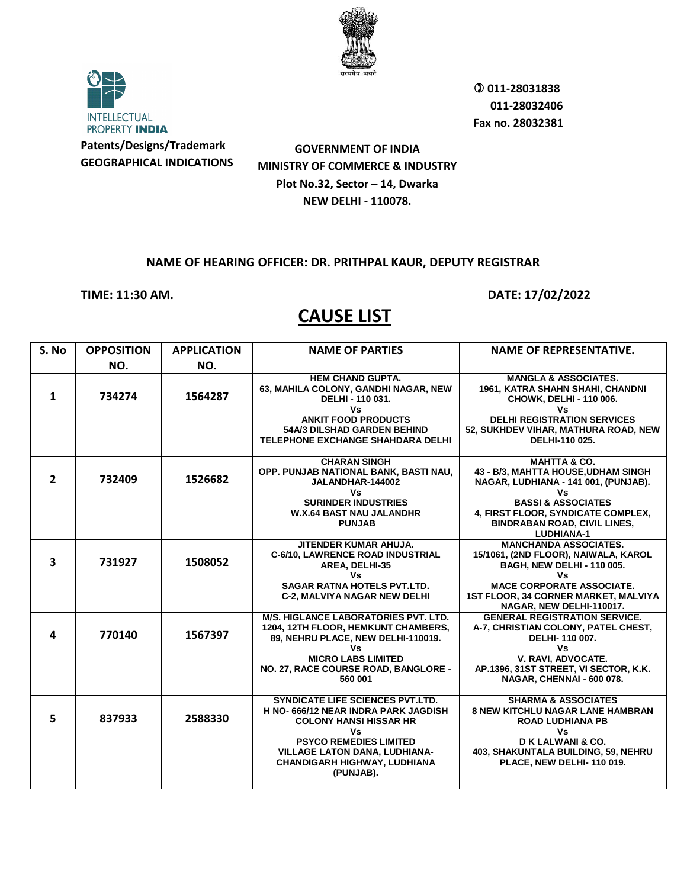



**GOVERNMENT OF INDIA MINISTRY OF COMMERCE & INDUSTRY Plot No.32, Sector – 14, Dwarka NEW DELHI - 110078.**

#### **NAME OF HEARING OFFICER: DR. PRITHPAL KAUR, DEPUTY REGISTRAR**

**TIME: 11:30 AM. DATE: 17/02/2022** 

| S. No                   | <b>OPPOSITION</b> | <b>APPLICATION</b> | <b>NAME OF PARTIES</b>                                                                                                                                                                                                                             | <b>NAME OF REPRESENTATIVE.</b>                                                                                                                                                                                                                 |
|-------------------------|-------------------|--------------------|----------------------------------------------------------------------------------------------------------------------------------------------------------------------------------------------------------------------------------------------------|------------------------------------------------------------------------------------------------------------------------------------------------------------------------------------------------------------------------------------------------|
|                         | NO.               | NO.                |                                                                                                                                                                                                                                                    |                                                                                                                                                                                                                                                |
| $\mathbf{1}$            | 734274            | 1564287            | <b>HEM CHAND GUPTA.</b><br>63, MAHILA COLONY, GANDHI NAGAR, NEW<br>DELHI - 110 031.<br>٧s<br><b>ANKIT FOOD PRODUCTS</b><br>54A/3 DILSHAD GARDEN BEHIND<br><b>TELEPHONE EXCHANGE SHAHDARA DELHI</b>                                                 | <b>MANGLA &amp; ASSOCIATES.</b><br>1961, KATRA SHAHN SHAHI, CHANDNI<br>CHOWK, DELHI - 110 006.<br>٧s<br><b>DELHI REGISTRATION SERVICES</b><br>52, SUKHDEV VIHAR, MATHURA ROAD, NEW<br>DELHI-110 025.                                           |
| $\overline{2}$          | 732409            | 1526682            | <b>CHARAN SINGH</b><br>OPP. PUNJAB NATIONAL BANK, BASTI NAU,<br>JALANDHAR-144002<br>٧s<br><b>SURINDER INDUSTRIES</b><br><b>W.X.64 BAST NAU JALANDHR</b><br><b>PUNJAB</b>                                                                           | <b>MAHTTA &amp; CO.</b><br>43 - B/3. MAHTTA HOUSE.UDHAM SINGH<br>NAGAR, LUDHIANA - 141 001, (PUNJAB).<br>٧s<br><b>BASSI &amp; ASSOCIATES</b><br>4, FIRST FLOOR, SYNDICATE COMPLEX,<br><b>BINDRABAN ROAD, CIVIL LINES,</b><br><b>LUDHIANA-1</b> |
| $\overline{\mathbf{3}}$ | 731927            | 1508052            | JITENDER KUMAR AHUJA.<br>C-6/10, LAWRENCE ROAD INDUSTRIAL<br>AREA, DELHI-35<br>٧s<br><b>SAGAR RATNA HOTELS PVT.LTD.</b><br><b>C-2, MALVIYA NAGAR NEW DELHI</b>                                                                                     | <b>MANCHANDA ASSOCIATES.</b><br>15/1061, (2ND FLOOR), NAIWALA, KAROL<br><b>BAGH, NEW DELHI - 110 005.</b><br>٧s<br><b>MACE CORPORATE ASSOCIATE.</b><br>1ST FLOOR, 34 CORNER MARKET, MALVIYA<br>NAGAR, NEW DELHI-110017.                        |
| 4                       | 770140            | 1567397            | <b>M/S. HIGLANCE LABORATORIES PVT. LTD.</b><br>1204, 12TH FLOOR, HEMKUNT CHAMBERS,<br>89, NEHRU PLACE, NEW DELHI-110019.<br>٧s<br><b>MICRO LABS LIMITED</b><br>NO. 27, RACE COURSE ROAD, BANGLORE -<br>560 001                                     | <b>GENERAL REGISTRATION SERVICE.</b><br>A-7, CHRISTIAN COLONY, PATEL CHEST,<br>DELHI-110 007.<br>٧s<br>V. RAVI, ADVOCATE.<br>AP.1396, 31ST STREET, VI SECTOR, K.K.<br>NAGAR, CHENNAI - 600 078.                                                |
| 5.                      | 837933            | 2588330            | <b>SYNDICATE LIFE SCIENCES PVT.LTD.</b><br>H NO-666/12 NEAR INDRA PARK JAGDISH<br><b>COLONY HANSI HISSAR HR</b><br>٧s<br><b>PSYCO REMEDIES LIMITED</b><br><b>VILLAGE LATON DANA, LUDHIANA-</b><br><b>CHANDIGARH HIGHWAY, LUDHIANA</b><br>(PUNJAB). | <b>SHARMA &amp; ASSOCIATES</b><br><b>8 NEW KITCHLU NAGAR LANE HAMBRAN</b><br><b>ROAD LUDHIANA PB</b><br>Vs<br><b>DK LALWANI &amp; CO.</b><br>403, SHAKUNTALA BUILDING, 59, NEHRU<br>PLACE, NEW DELHI-110 019.                                  |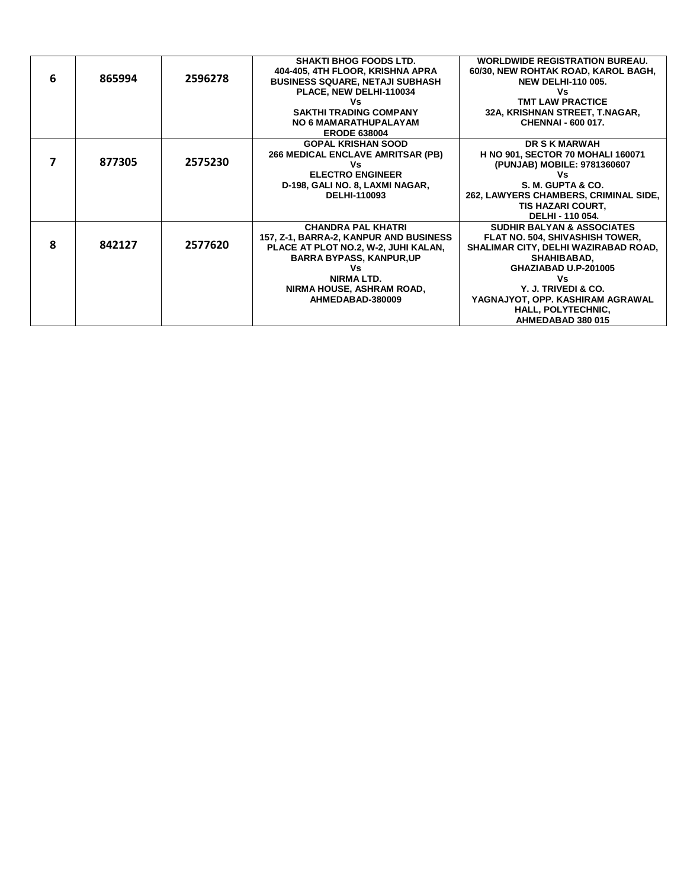|   |        |         | <b>SHAKTI BHOG FOODS LTD.</b>            | <b>WORLDWIDE REGISTRATION BUREAU.</b>    |
|---|--------|---------|------------------------------------------|------------------------------------------|
|   |        |         | 404-405, 4TH FLOOR, KRISHNA APRA         | 60/30, NEW ROHTAK ROAD, KAROL BAGH,      |
| 6 | 865994 | 2596278 | <b>BUSINESS SQUARE, NETAJI SUBHASH</b>   | <b>NEW DELHI-110 005.</b>                |
|   |        |         | PLACE, NEW DELHI-110034                  | Vs                                       |
|   |        |         |                                          | <b>TMT LAW PRACTICE</b>                  |
|   |        |         | <b>SAKTHI TRADING COMPANY</b>            | 32A, KRISHNAN STREET, T.NAGAR,           |
|   |        |         | <b>NO 6 MAMARATHUPALAYAM</b>             | <b>CHENNAI - 600 017.</b>                |
|   |        |         | <b>ERODE 638004</b>                      |                                          |
|   |        |         | <b>GOPAL KRISHAN SOOD</b>                | <b>DR S K MARWAH</b>                     |
|   |        |         | <b>266 MEDICAL ENCLAVE AMRITSAR (PB)</b> | <b>H NO 901, SECTOR 70 MOHALI 160071</b> |
|   | 877305 | 2575230 | ٧s                                       | (PUNJAB) MOBILE: 9781360607              |
|   |        |         | <b>ELECTRO ENGINEER</b>                  | ٧s                                       |
|   |        |         | D-198, GALI NO. 8, LAXMI NAGAR,          | S. M. GUPTA & CO.                        |
|   |        |         | DELHI-110093                             | 262, LAWYERS CHAMBERS, CRIMINAL SIDE,    |
|   |        |         |                                          | <b>TIS HAZARI COURT,</b>                 |
|   |        |         |                                          | DELHI - 110 054.                         |
|   |        |         | <b>CHANDRA PAL KHATRI</b>                | <b>SUDHIR BALYAN &amp; ASSOCIATES</b>    |
|   |        |         | 157, Z-1, BARRA-2, KANPUR AND BUSINESS   | <b>FLAT NO. 504, SHIVASHISH TOWER,</b>   |
| 8 | 842127 | 2577620 | PLACE AT PLOT NO.2, W-2, JUHI KALAN,     | SHALIMAR CITY, DELHI WAZIRABAD ROAD,     |
|   |        |         | <b>BARRA BYPASS, KANPUR, UP</b>          | <b>SHAHIBABAD,</b>                       |
|   |        |         | ٧s                                       | GHAZIABAD U.P-201005                     |
|   |        |         | <b>NIRMALTD.</b>                         | ٧s                                       |
|   |        |         | NIRMA HOUSE, ASHRAM ROAD,                | Y. J. TRIVEDI & CO.                      |
|   |        |         | AHMEDABAD-380009                         | YAGNAJYOT, OPP. KASHIRAM AGRAWAL         |
|   |        |         |                                          | HALL, POLYTECHNIC,                       |
|   |        |         |                                          | AHMEDABAD 380 015                        |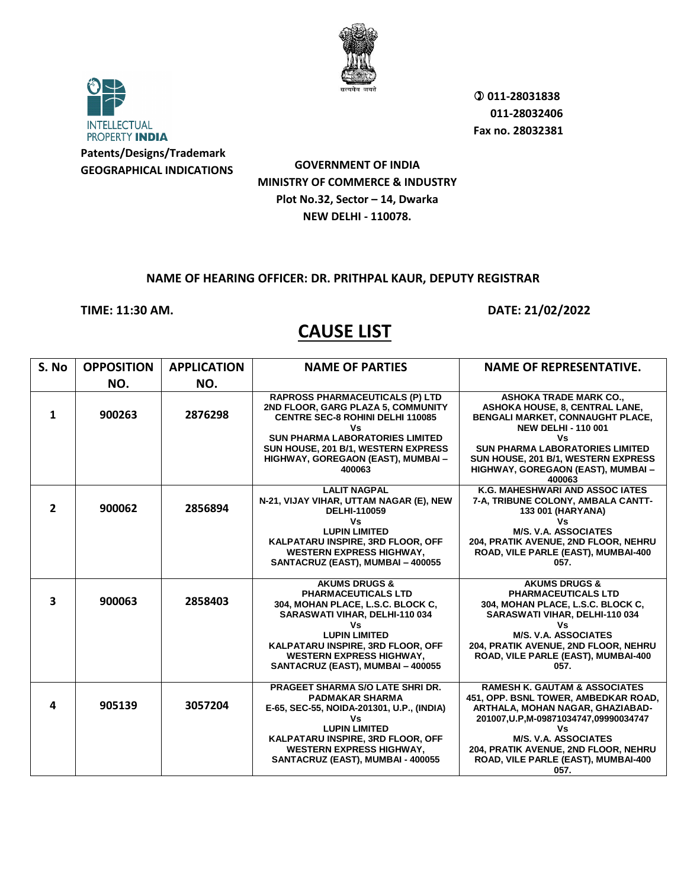

**INTELLECTUAL** PROPERTY INDIA **Patents/Designs/Trademark GEOGRAPHICAL INDICATIONS**

**GOVERNMENT OF INDIA MINISTRY OF COMMERCE & INDUSTRY Plot No.32, Sector – 14, Dwarka NEW DELHI - 110078.**

### **NAME OF HEARING OFFICER: DR. PRITHPAL KAUR, DEPUTY REGISTRAR**

### **TIME: 11:30 AM. DATE: 21/02/2022**

| S. No          | <b>OPPOSITION</b> | <b>APPLICATION</b> | <b>NAME OF PARTIES</b>                                                                                                                                                     | <b>NAME OF REPRESENTATIVE.</b>                                                                                                                                                                       |
|----------------|-------------------|--------------------|----------------------------------------------------------------------------------------------------------------------------------------------------------------------------|------------------------------------------------------------------------------------------------------------------------------------------------------------------------------------------------------|
|                | NO.               | NO.                |                                                                                                                                                                            |                                                                                                                                                                                                      |
| $\mathbf{1}$   | 900263            | 2876298            | <b>RAPROSS PHARMACEUTICALS (P) LTD</b><br>2ND FLOOR, GARG PLAZA 5, COMMUNITY<br><b>CENTRE SEC-8 ROHINI DELHI 110085</b><br>Vs<br><b>SUN PHARMA LABORATORIES LIMITED</b>    | <b>ASHOKA TRADE MARK CO.,</b><br>ASHOKA HOUSE, 8, CENTRAL LANE,<br>BENGALI MARKET, CONNAUGHT PLACE,<br><b>NEW DELHI - 110 001</b><br>Vs                                                              |
|                |                   |                    | SUN HOUSE, 201 B/1, WESTERN EXPRESS<br>HIGHWAY, GOREGAON (EAST), MUMBAI -<br>400063                                                                                        | <b>SUN PHARMA LABORATORIES LIMITED</b><br>SUN HOUSE, 201 B/1, WESTERN EXPRESS<br>HIGHWAY, GOREGAON (EAST), MUMBAI -<br>400063                                                                        |
| $\overline{2}$ | 900062            | 2856894            | <b>LALIT NAGPAL</b><br>N-21, VIJAY VIHAR, UTTAM NAGAR (E), NEW<br><b>DELHI-110059</b><br>Vs                                                                                | K.G. MAHESHWARI AND ASSOC IATES<br>7-A, TRIBUNE COLONY, AMBALA CANTT-<br>133 001 (HARYANA)<br>٧s                                                                                                     |
|                |                   |                    | <b>LUPIN LIMITED</b><br>KALPATARU INSPIRE, 3RD FLOOR, OFF<br><b>WESTERN EXPRESS HIGHWAY,</b><br>SANTACRUZ (EAST), MUMBAI - 400055                                          | <b>M/S. V.A. ASSOCIATES</b><br>204, PRATIK AVENUE, 2ND FLOOR, NEHRU<br>ROAD, VILE PARLE (EAST), MUMBAI-400<br>057.                                                                                   |
| 3              | 900063            | 2858403            | <b>AKUMS DRUGS &amp;</b><br><b>PHARMACEUTICALS LTD</b><br>304, MOHAN PLACE, L.S.C. BLOCK C,<br>SARASWATI VIHAR, DELHI-110 034<br>٧s                                        | <b>AKUMS DRUGS &amp;</b><br><b>PHARMACEUTICALS LTD</b><br>304, MOHAN PLACE, L.S.C. BLOCK C,<br>SARASWATI VIHAR, DELHI-110 034<br>٧s                                                                  |
|                |                   |                    | <b>LUPIN LIMITED</b><br>KALPATARU INSPIRE, 3RD FLOOR, OFF<br><b>WESTERN EXPRESS HIGHWAY,</b><br>SANTACRUZ (EAST), MUMBAI - 400055                                          | <b>M/S. V.A. ASSOCIATES</b><br>204, PRATIK AVENUE, 2ND FLOOR, NEHRU<br>ROAD, VILE PARLE (EAST), MUMBAI-400<br>057.                                                                                   |
| 4              | 905139            | 3057204            | PRAGEET SHARMA S/O LATE SHRI DR.<br><b>PADMAKAR SHARMA</b><br>E-65, SEC-55, NOIDA-201301, U.P., (INDIA)<br>Vs<br><b>LUPIN LIMITED</b><br>KALPATARU INSPIRE, 3RD FLOOR, OFF | <b>RAMESH K. GAUTAM &amp; ASSOCIATES</b><br>451, OPP. BSNL TOWER, AMBEDKAR ROAD,<br>ARTHALA, MOHAN NAGAR, GHAZIABAD-<br>201007, U.P, M-09871034747, 09990034747<br>٧s<br><b>M/S. V.A. ASSOCIATES</b> |
|                |                   |                    | <b>WESTERN EXPRESS HIGHWAY,</b><br>SANTACRUZ (EAST), MUMBAI - 400055                                                                                                       | 204, PRATIK AVENUE, 2ND FLOOR, NEHRU<br>ROAD, VILE PARLE (EAST), MUMBAI-400<br>057.                                                                                                                  |

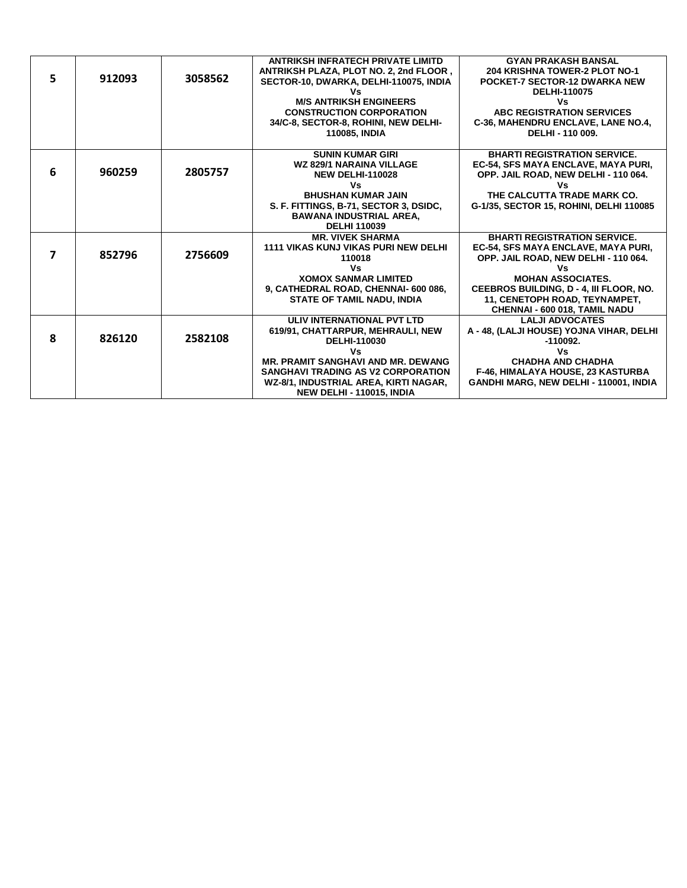|    |        |         | <b>ANTRIKSH INFRATECH PRIVATE LIMITD</b>  | <b>GYAN PRAKASH BANSAL</b>                 |
|----|--------|---------|-------------------------------------------|--------------------------------------------|
|    |        |         | ANTRIKSH PLAZA, PLOT NO. 2, 2nd FLOOR,    | <b>204 KRISHNA TOWER-2 PLOT NO-1</b>       |
| 5. | 912093 | 3058562 | SECTOR-10, DWARKA, DELHI-110075, INDIA    | <b>POCKET-7 SECTOR-12 DWARKA NEW</b>       |
|    |        |         |                                           | <b>DELHI-110075</b>                        |
|    |        |         | <b>M/S ANTRIKSH ENGINEERS</b>             | Vs                                         |
|    |        |         | <b>CONSTRUCTION CORPORATION</b>           | ABC REGISTRATION SERVICES                  |
|    |        |         | 34/C-8, SECTOR-8, ROHINI, NEW DELHI-      | C-36, MAHENDRU ENCLAVE, LANE NO.4,         |
|    |        |         | <b>110085. INDIA</b>                      | DELHI - 110 009.                           |
|    |        |         |                                           |                                            |
|    |        |         | <b>SUNIN KUMAR GIRI</b>                   | <b>BHARTI REGISTRATION SERVICE.</b>        |
|    |        |         | <b>WZ 829/1 NARAINA VILLAGE</b>           | EC-54, SFS MAYA ENCLAVE, MAYA PURI,        |
| 6  | 960259 | 2805757 | <b>NEW DELHI-110028</b>                   | OPP. JAIL ROAD, NEW DELHI - 110 064.       |
|    |        |         | Vs                                        | Vs                                         |
|    |        |         | <b>BHUSHAN KUMAR JAIN</b>                 | THE CALCUTTA TRADE MARK CO.                |
|    |        |         | S. F. FITTINGS, B-71, SECTOR 3, DSIDC,    | G-1/35, SECTOR 15, ROHINI, DELHI 110085    |
|    |        |         | <b>BAWANA INDUSTRIAL AREA.</b>            |                                            |
|    |        |         | <b>DELHI 110039</b>                       |                                            |
|    |        |         | <b>MR. VIVEK SHARMA</b>                   | <b>BHARTI REGISTRATION SERVICE.</b>        |
|    |        |         | 1111 VIKAS KUNJ VIKAS PURI NEW DELHI      | <b>EC-54. SFS MAYA ENCLAVE. MAYA PURI.</b> |
|    | 852796 | 2756609 | 110018                                    | OPP. JAIL ROAD, NEW DELHI - 110 064.       |
|    |        |         | Vs                                        | ٧s                                         |
|    |        |         | <b>XOMOX SANMAR LIMITED</b>               | <b>MOHAN ASSOCIATES.</b>                   |
|    |        |         | 9, CATHEDRAL ROAD, CHENNAI- 600 086,      | CEEBROS BUILDING, D - 4, III FLOOR, NO.    |
|    |        |         | <b>STATE OF TAMIL NADU, INDIA</b>         | 11, CENETOPH ROAD, TEYNAMPET,              |
|    |        |         |                                           | CHENNAI - 600 018, TAMIL NADU              |
|    |        |         | ULIV INTERNATIONAL PVT LTD                | <b>LALJI ADVOCATES</b>                     |
|    |        |         | 619/91, CHATTARPUR, MEHRAULI, NEW         | A - 48, (LALJI HOUSE) YOJNA VIHAR, DELHI   |
| 8  | 826120 | 2582108 | <b>DELHI-110030</b>                       | $-110092.$                                 |
|    |        |         | Vs                                        | Vs                                         |
|    |        |         | <b>MR. PRAMIT SANGHAVI AND MR. DEWANG</b> | <b>CHADHA AND CHADHA</b>                   |
|    |        |         | <b>SANGHAVI TRADING AS V2 CORPORATION</b> | <b>F-46. HIMALAYA HOUSE, 23 KASTURBA</b>   |
|    |        |         | WZ-8/1, INDUSTRIAL AREA, KIRTI NAGAR,     | GANDHI MARG, NEW DELHI - 110001, INDIA     |
|    |        |         | <b>NEW DELHI - 110015, INDIA</b>          |                                            |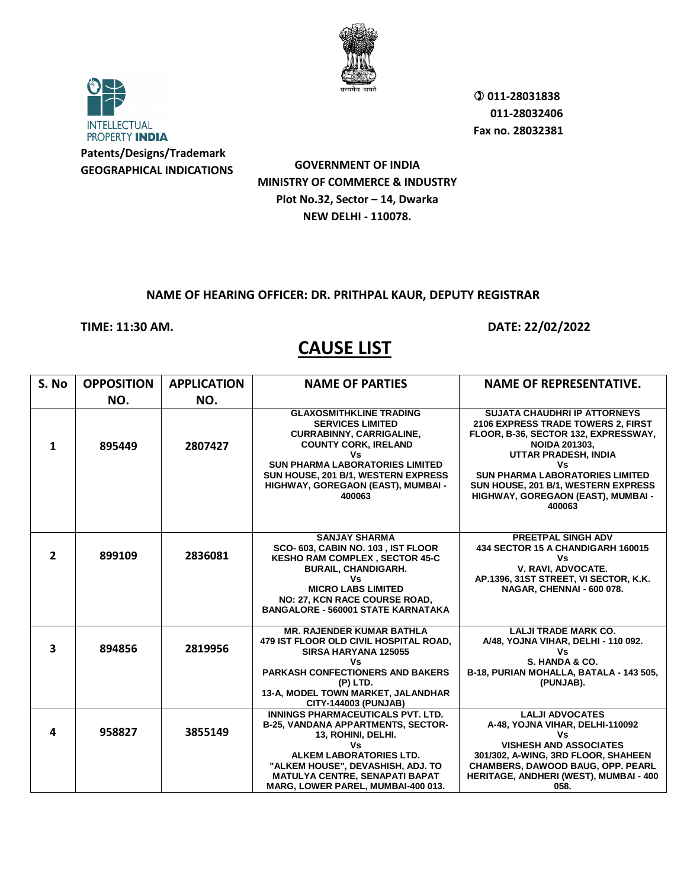

**INTELLECTUAL** PROPERTY INDIA **Patents/Designs/Trademark GEOGRAPHICAL INDICATIONS**

**GOVERNMENT OF INDIA MINISTRY OF COMMERCE & INDUSTRY Plot No.32, Sector – 14, Dwarka NEW DELHI - 110078.**

#### **NAME OF HEARING OFFICER: DR. PRITHPAL KAUR, DEPUTY REGISTRAR**

### **TIME: 11:30 AM. DATE: 22/02/2022**

| S. No                   | <b>OPPOSITION</b> | <b>APPLICATION</b> | <b>NAME OF PARTIES</b>                                                                                                                                                                                                                                             | <b>NAME OF REPRESENTATIVE.</b>                                                                                                                                                                                                                                                                           |
|-------------------------|-------------------|--------------------|--------------------------------------------------------------------------------------------------------------------------------------------------------------------------------------------------------------------------------------------------------------------|----------------------------------------------------------------------------------------------------------------------------------------------------------------------------------------------------------------------------------------------------------------------------------------------------------|
|                         | NO.               | NO.                |                                                                                                                                                                                                                                                                    |                                                                                                                                                                                                                                                                                                          |
| $\mathbf{1}$            | 895449            | 2807427            | <b>GLAXOSMITHKLINE TRADING</b><br><b>SERVICES LIMITED</b><br><b>CURRABINNY, CARRIGALINE,</b><br><b>COUNTY CORK, IRELAND</b><br>٧s<br><b>SUN PHARMA LABORATORIES LIMITED</b><br>SUN HOUSE, 201 B/1, WESTERN EXPRESS<br>HIGHWAY, GOREGAON (EAST), MUMBAI -<br>400063 | <b>SUJATA CHAUDHRI IP ATTORNEYS</b><br>2106 EXPRESS TRADE TOWERS 2, FIRST<br>FLOOR, B-36, SECTOR 132, EXPRESSWAY,<br><b>NOIDA 201303,</b><br>UTTAR PRADESH, INDIA<br>٧s<br><b>SUN PHARMA LABORATORIES LIMITED</b><br>SUN HOUSE, 201 B/1, WESTERN EXPRESS<br>HIGHWAY, GOREGAON (EAST), MUMBAI -<br>400063 |
| $\overline{2}$          | 899109            | 2836081            | <b>SANJAY SHARMA</b><br>SCO-603, CABIN NO. 103, IST FLOOR<br>KESHO RAM COMPLEX, SECTOR 45-C<br><b>BURAIL, CHANDIGARH.</b><br>Vs<br><b>MICRO LABS LIMITED</b><br>NO: 27, KCN RACE COURSE ROAD,<br><b>BANGALORE - 560001 STATE KARNATAKA</b>                         | <b>PREETPAL SINGH ADV</b><br>434 SECTOR 15 A CHANDIGARH 160015<br>Vs.<br>V. RAVI, ADVOCATE.<br>AP.1396, 31ST STREET, VI SECTOR, K.K.<br>NAGAR, CHENNAI - 600 078.                                                                                                                                        |
| $\overline{\mathbf{3}}$ | 894856            | 2819956            | <b>MR. RAJENDER KUMAR BATHLA</b><br>479 IST FLOOR OLD CIVIL HOSPITAL ROAD,<br>SIRSA HARYANA 125055<br>٧s<br><b>PARKASH CONFECTIONERS AND BAKERS</b><br>(P) LTD.<br>13-A, MODEL TOWN MARKET, JALANDHAR<br><b>CITY-144003 (PUNJAB)</b>                               | <b>LALJI TRADE MARK CO.</b><br>A/48, YOJNA VIHAR, DELHI - 110 092.<br>Vs<br>S. HANDA & CO.<br>B-18, PURIAN MOHALLA, BATALA - 143 505,<br>(PUNJAB).                                                                                                                                                       |
| 4                       | 958827            | 3855149            | INNINGS PHARMACEUTICALS PVT. LTD.<br><b>B-25, VANDANA APPARTMENTS, SECTOR-</b><br>13, ROHINI, DELHI.<br>٧s<br>ALKEM LABORATORIES LTD.<br>"ALKEM HOUSE", DEVASHISH, ADJ. TO<br><b>MATULYA CENTRE, SENAPATI BAPAT</b><br>MARG, LOWER PAREL, MUMBAI-400 013.          | <b>LALJI ADVOCATES</b><br>A-48, YOJNA VIHAR, DELHI-110092<br>٧s<br><b>VISHESH AND ASSOCIATES</b><br>301/302, A-WING, 3RD FLOOR, SHAHEEN<br>CHAMBERS, DAWOOD BAUG, OPP. PEARL<br>HERITAGE, ANDHERI (WEST), MUMBAI - 400<br>058.                                                                           |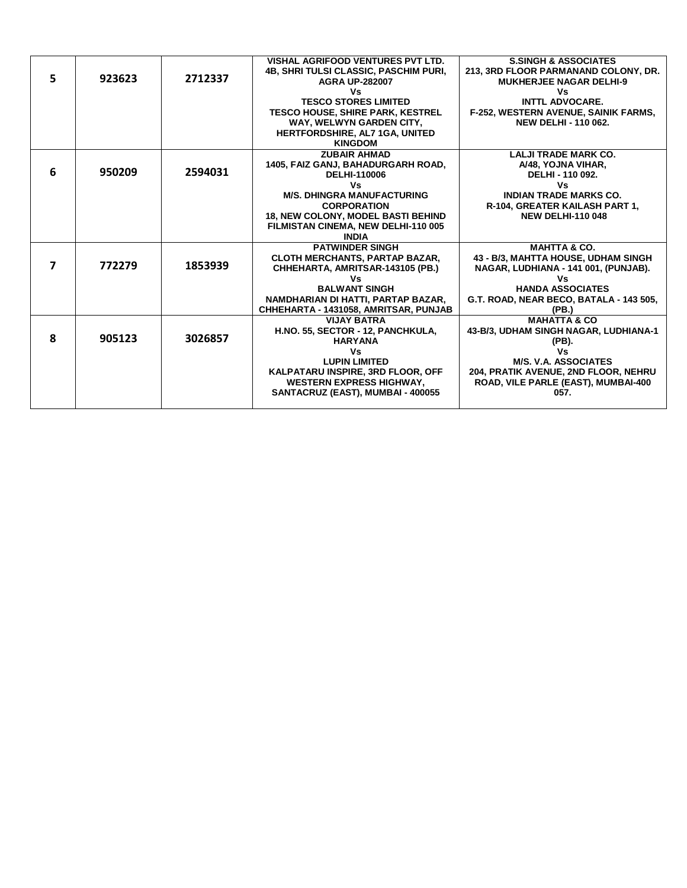|    |        |         | <b>VISHAL AGRIFOOD VENTURES PVT LTD.</b>                           | <b>S.SINGH &amp; ASSOCIATES</b>                                |
|----|--------|---------|--------------------------------------------------------------------|----------------------------------------------------------------|
|    |        |         | <b>4B. SHRI TULSI CLASSIC, PASCHIM PURI,</b>                       | 213, 3RD FLOOR PARMANAND COLONY, DR.                           |
| 5. | 923623 | 2712337 | <b>AGRA UP-282007</b>                                              | <b>MUKHERJEE NAGAR DELHI-9</b>                                 |
|    |        |         | Vs                                                                 | Vs                                                             |
|    |        |         | <b>TESCO STORES LIMITED</b>                                        | <b>INTTL ADVOCARE.</b>                                         |
|    |        |         | <b>TESCO HOUSE, SHIRE PARK, KESTREL</b>                            | F-252, WESTERN AVENUE, SAINIK FARMS,                           |
|    |        |         | WAY, WELWYN GARDEN CITY,                                           | <b>NEW DELHI - 110 062.</b>                                    |
|    |        |         | <b>HERTFORDSHIRE, AL7 1GA, UNITED</b>                              |                                                                |
|    |        |         | <b>KINGDOM</b>                                                     |                                                                |
|    |        |         | <b>ZUBAIR AHMAD</b>                                                | <b>LALJI TRADE MARK CO.</b>                                    |
| 6  | 950209 | 2594031 | 1405, FAIZ GANJ, BAHADURGARH ROAD,                                 | A/48, YOJNA VIHAR,                                             |
|    |        |         | <b>DELHI-110006</b>                                                | DELHI - 110 092.                                               |
|    |        |         | Vs                                                                 | Vs                                                             |
|    |        |         | <b>M/S. DHINGRA MANUFACTURING</b>                                  | <b>INDIAN TRADE MARKS CO.</b>                                  |
|    |        |         | <b>CORPORATION</b>                                                 | R-104, GREATER KAILASH PART 1,                                 |
|    |        |         | <b>18, NEW COLONY, MODEL BASTI BEHIND</b>                          | <b>NEW DELHI-110 048</b>                                       |
|    |        |         | FILMISTAN CINEMA, NEW DELHI-110 005                                |                                                                |
|    |        |         | <b>INDIA</b>                                                       |                                                                |
|    |        |         | <b>PATWINDER SINGH</b>                                             | <b>MAHTTA &amp; CO.</b><br>43 - B/3, MAHTTA HOUSE, UDHAM SINGH |
| 7  | 772279 | 1853939 | CLOTH MERCHANTS, PARTAP BAZAR,<br>CHHEHARTA, AMRITSAR-143105 (PB.) | NAGAR, LUDHIANA - 141 001, (PUNJAB).                           |
|    |        |         | ٧s                                                                 | ٧s                                                             |
|    |        |         | <b>BALWANT SINGH</b>                                               | <b>HANDA ASSOCIATES</b>                                        |
|    |        |         | NAMDHARIAN DI HATTI, PARTAP BAZAR,                                 | G.T. ROAD, NEAR BECO, BATALA - 143 505,                        |
|    |        |         | CHHEHARTA - 1431058, AMRITSAR, PUNJAB                              | (PB.)                                                          |
|    |        |         | <b>VIJAY BATRA</b>                                                 | <b>MAHATTA &amp; CO</b>                                        |
|    |        |         | H.NO. 55, SECTOR - 12, PANCHKULA,                                  | 43-B/3, UDHAM SINGH NAGAR, LUDHIANA-1                          |
| 8  | 905123 | 3026857 | <b>HARYANA</b>                                                     | (PB).                                                          |
|    |        |         | Vs                                                                 | ٧s                                                             |
|    |        |         | <b>LUPIN LIMITED</b>                                               | <b>M/S. V.A. ASSOCIATES</b>                                    |
|    |        |         | KALPATARU INSPIRE, 3RD FLOOR, OFF                                  | 204, PRATIK AVENUE, 2ND FLOOR, NEHRU                           |
|    |        |         | <b>WESTERN EXPRESS HIGHWAY,</b>                                    | ROAD, VILE PARLE (EAST), MUMBAI-400                            |
|    |        |         | SANTACRUZ (EAST), MUMBAI - 400055                                  | 057.                                                           |
|    |        |         |                                                                    |                                                                |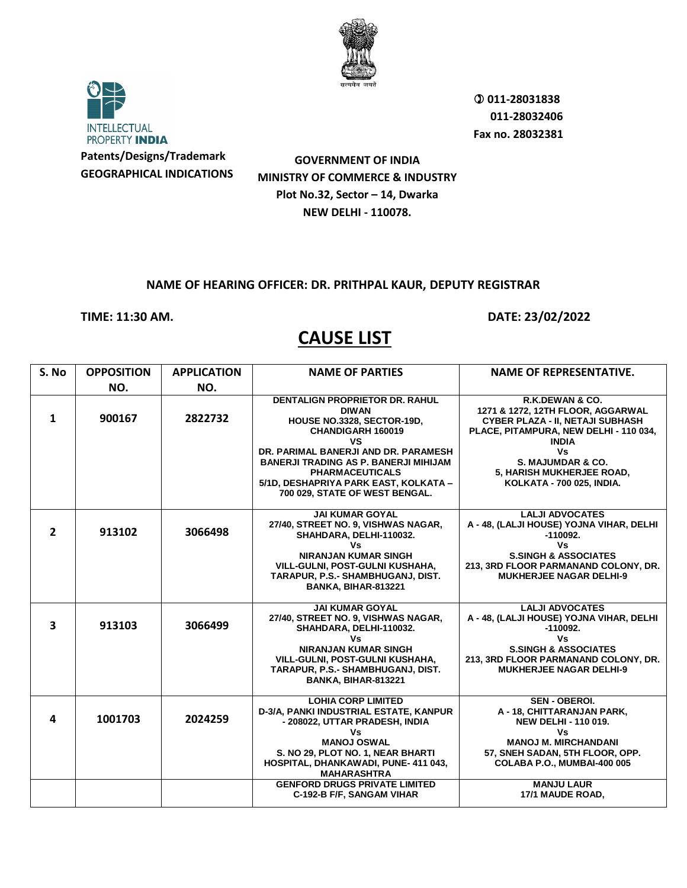



**Patents/Designs/Trademark GEOGRAPHICAL INDICATIONS**

 **011-28031838 011-28032406 Fax no. 28032381**

**GOVERNMENT OF INDIA MINISTRY OF COMMERCE & INDUSTRY Plot No.32, Sector – 14, Dwarka NEW DELHI - 110078.**

#### **NAME OF HEARING OFFICER: DR. PRITHPAL KAUR, DEPUTY REGISTRAR**

**TIME: 11:30 AM. DATE: 23/02/2022** 

| S. No          | <b>OPPOSITION</b> | <b>APPLICATION</b> | <b>NAME OF PARTIES</b>                                                                                                                                                                                                                                                                                      | <b>NAME OF REPRESENTATIVE.</b>                                                                                                                                                                                                                        |
|----------------|-------------------|--------------------|-------------------------------------------------------------------------------------------------------------------------------------------------------------------------------------------------------------------------------------------------------------------------------------------------------------|-------------------------------------------------------------------------------------------------------------------------------------------------------------------------------------------------------------------------------------------------------|
|                | NO.               | NO.                |                                                                                                                                                                                                                                                                                                             |                                                                                                                                                                                                                                                       |
| $\mathbf{1}$   | 900167            | 2822732            | <b>DENTALIGN PROPRIETOR DR. RAHUL</b><br><b>DIWAN</b><br>HOUSE NO.3328, SECTOR-19D,<br>CHANDIGARH 160019<br>٧S<br>DR. PARIMAL BANERJI AND DR. PARAMESH<br><b>BANERJI TRADING AS P. BANERJI MIHIJAM</b><br><b>PHARMACEUTICALS</b><br>5/1D, DESHAPRIYA PARK EAST, KOLKATA -<br>700 029, STATE OF WEST BENGAL. | R.K.DEWAN & CO.<br>1271 & 1272, 12TH FLOOR, AGGARWAL<br><b>CYBER PLAZA - II, NETAJI SUBHASH</b><br>PLACE, PITAMPURA, NEW DELHI - 110 034,<br><b>INDIA</b><br>Vs<br>S. MAJUMDAR & CO.<br>5, HARISH MUKHERJEE ROAD,<br><b>KOLKATA - 700 025, INDIA.</b> |
| $\overline{2}$ | 913102            | 3066498            | <b>JAI KUMAR GOYAL</b><br>27/40, STREET NO. 9, VISHWAS NAGAR,<br>SHAHDARA, DELHI-110032.<br>Vs<br><b>NIRANJAN KUMAR SINGH</b><br>VILL-GULNI, POST-GULNI KUSHAHA,<br>TARAPUR, P.S.- SHAMBHUGANJ, DIST.<br>BANKA, BIHAR-813221                                                                                | <b>LALJI ADVOCATES</b><br>A - 48, (LALJI HOUSE) YOJNA VIHAR, DELHI<br>$-110092.$<br><b>Vs</b><br><b>S.SINGH &amp; ASSOCIATES</b><br>213, 3RD FLOOR PARMANAND COLONY, DR.<br><b>MUKHERJEE NAGAR DELHI-9</b>                                            |
| 3              | 913103            | 3066499            | <b>JAI KUMAR GOYAL</b><br>27/40, STREET NO. 9, VISHWAS NAGAR,<br>SHAHDARA, DELHI-110032.<br>Vs<br><b>NIRANJAN KUMAR SINGH</b><br><b>VILL-GULNI, POST-GULNI KUSHAHA,</b><br>TARAPUR, P.S.- SHAMBHUGANJ, DIST.<br>BANKA, BIHAR-813221                                                                         | <b>LALJI ADVOCATES</b><br>A - 48, (LALJI HOUSE) YOJNA VIHAR, DELHI<br>$-110092.$<br>Vs<br><b>S.SINGH &amp; ASSOCIATES</b><br>213, 3RD FLOOR PARMANAND COLONY, DR.<br><b>MUKHERJEE NAGAR DELHI-9</b>                                                   |
| 4              | 1001703           | 2024259            | <b>LOHIA CORP LIMITED</b><br>D-3/A, PANKI INDUSTRIAL ESTATE, KANPUR<br>- 208022, UTTAR PRADESH, INDIA<br>٧s<br><b>MANOJ OSWAL</b><br>S. NO 29, PLOT NO. 1, NEAR BHARTI<br>HOSPITAL, DHANKAWADI, PUNE-411 043,<br><b>MAHARASHTRA</b>                                                                         | SEN - OBEROI.<br>A - 18, CHITTARANJAN PARK,<br><b>NEW DELHI - 110 019.</b><br>Vs<br><b>MANOJ M. MIRCHANDANI</b><br>57, SNEH SADAN, 5TH FLOOR, OPP.<br>COLABA P.O., MUMBAI-400 005                                                                     |
|                |                   |                    | <b>GENFORD DRUGS PRIVATE LIMITED</b><br>C-192-B F/F, SANGAM VIHAR                                                                                                                                                                                                                                           | <b>MANJU LAUR</b><br>17/1 MAUDE ROAD,                                                                                                                                                                                                                 |